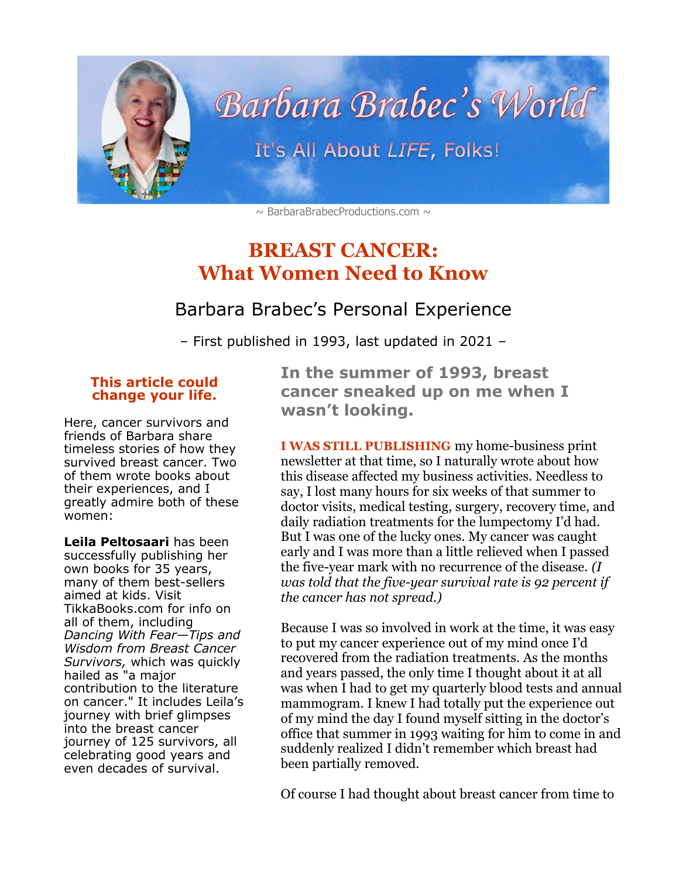

<span id="page-0-0"></span> $\sim$  BarbaraBrabecProductions.com  $\sim$ 

# **BREAST CANCER: What Women Need to Know**

### Barbara Brabec's Personal Experience

– First published in 1993, last updated in 2021 –

#### **This article could change your life.**

Here, cancer survivors and friends of Barbara share timeless stories of how they survived breast cancer. Two of them wrote books about their experiences, and I greatly admire both of these women:

**Leila Peltosaari** has been successfully publishing her own books for 35 years, many of them best-sellers aimed at kids. Visit TikkaBooks.com for info on all of them, including *Dancing With Fear—Tips and Wisdom from Breast Cancer Survivors,* which was quickly hailed as "a major contribution to the literature on cancer." It includes Leila's journey with brief glimpses into the breast cancer journey of 125 survivors, all celebrating good years and even decades of survival.

**In the summer of 1993, breast cancer sneaked up on me when I wasn't looking.** 

**I WAS STILL PUBLISHING** my home-business print newsletter at that time, so I naturally wrote about how this disease affected my business activities. Needless to say, I lost many hours for six weeks of that summer to doctor visits, medical testing, surgery, recovery time, and daily radiation treatments for the lumpectomy I'd had. But I was one of the lucky ones. My cancer was caught early and I was more than a little relieved when I passed the five-year mark with no recurrence of the disease. *(I was told that the five-year survival rate is 92 percent if the cancer has not spread.)*

Because I was so involved in work at the time, it was easy to put my cancer experience out of my mind once I'd recovered from the radiation treatments. As the months and years passed, the only time I thought about it at all was when I had to get my quarterly blood tests and annual mammogram. I knew I had totally put the experience out of my mind the day I found myself sitting in the doctor's office that summer in 1993 waiting for him to come in and suddenly realized I didn't remember which breast had been partially removed.

Of course I had thought about breast cancer from time to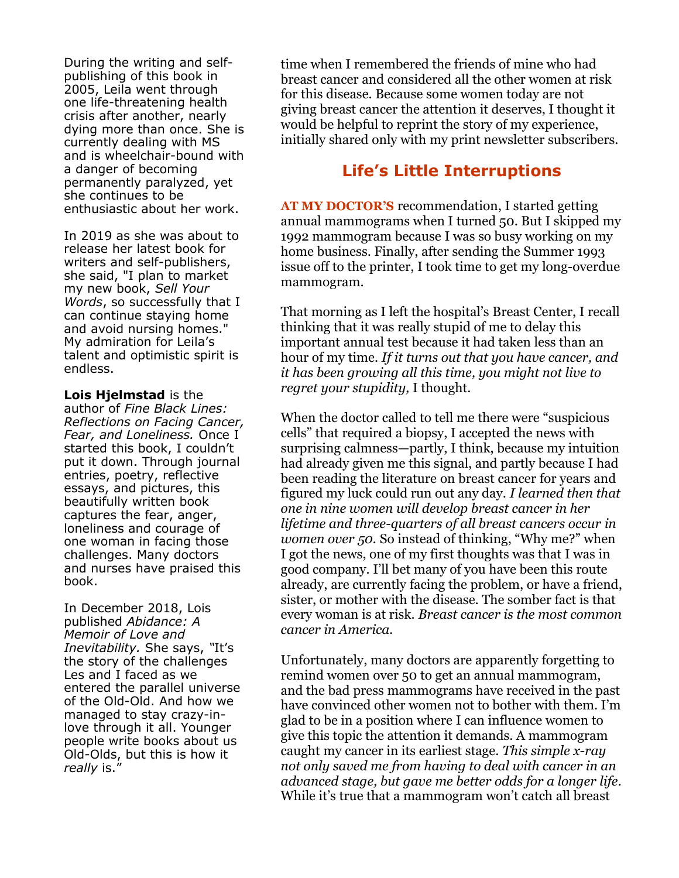During the writing and selfpublishing of this book in 2005, Leila went through one life-threatening health crisis after another, nearly dying more than once. She is currently dealing with MS and is wheelchair-bound with a danger of becoming permanently paralyzed, yet she continues to be enthusiastic about her work.

In 2019 as she was about to release her latest book for writers and self-publishers, she said, "I plan to market my new book, *Sell Your Words*, so successfully that I can continue staying home and avoid nursing homes." My admiration for Leila's talent and optimistic spirit is endless.

**Lois Hjelmstad** is the author of *Fine Black Lines: Reflections on Facing Cancer, Fear, and Loneliness.* Once I started this book, I couldn't put it down. Through journal entries, poetry, reflective essays, and pictures, this beautifully written book captures the fear, anger, loneliness and courage of one woman in facing those challenges. Many doctors and nurses have praised this book.

In December 2018, Lois published *Abidance: A Memoir of Love and Inevitability.* She says, *"*It's the story of the challenges Les and I faced as we entered the parallel universe of the Old-Old. And how we managed to stay crazy-inlove through it all. Younger people write books about us Old-Olds, but this is how it *really* is."

time when I remembered the friends of mine who had breast cancer and considered all the other women at risk for this disease. Because some women today are not giving breast cancer the attention it deserves, I thought it would be helpful to reprint the story of my experience, initially shared only with my print newsletter subscribers.

## **Life's Little Interruptions**

**AT MY DOCTOR'S** recommendation, I started getting annual mammograms when I turned 50. But I skipped my 1992 mammogram because I was so busy working on my home business. Finally, after sending the Summer 1993 issue off to the printer, I took time to get my long-overdue mammogram.

That morning as I left the hospital's Breast Center, I recall thinking that it was really stupid of me to delay this important annual test because it had taken less than an hour of my time. *If it turns out that you have cancer, and it has been growing all this time, you might not live to regret your stupidity,* I thought.

When the doctor called to tell me there were "suspicious cells" that required a biopsy, I accepted the news with surprising calmness—partly, I think, because my intuition had already given me this signal, and partly because I had been reading the literature on breast cancer for years and figured my luck could run out any day. *I learned then that one in nine women will develop breast cancer in her lifetime and three-quarters of all breast cancers occur in women over 50.* So instead of thinking, "Why me?" when I got the news, one of my first thoughts was that I was in good company. I'll bet many of you have been this route already, are currently facing the problem, or have a friend, sister, or mother with the disease. The somber fact is that every woman is at risk. *Breast cancer is the most common cancer in America.*

Unfortunately, many doctors are apparently forgetting to remind women over 50 to get an annual mammogram, and the bad press mammograms have received in the past have convinced other women not to bother with them. I'm glad to be in a position where I can influence women to give this topic the attention it demands. A mammogram caught my cancer in its earliest stage. *This simple x-ray not only saved me from having to deal with cancer in an advanced stage, but gave me better odds for a longer life.* While it's true that a mammogram won't catch all breast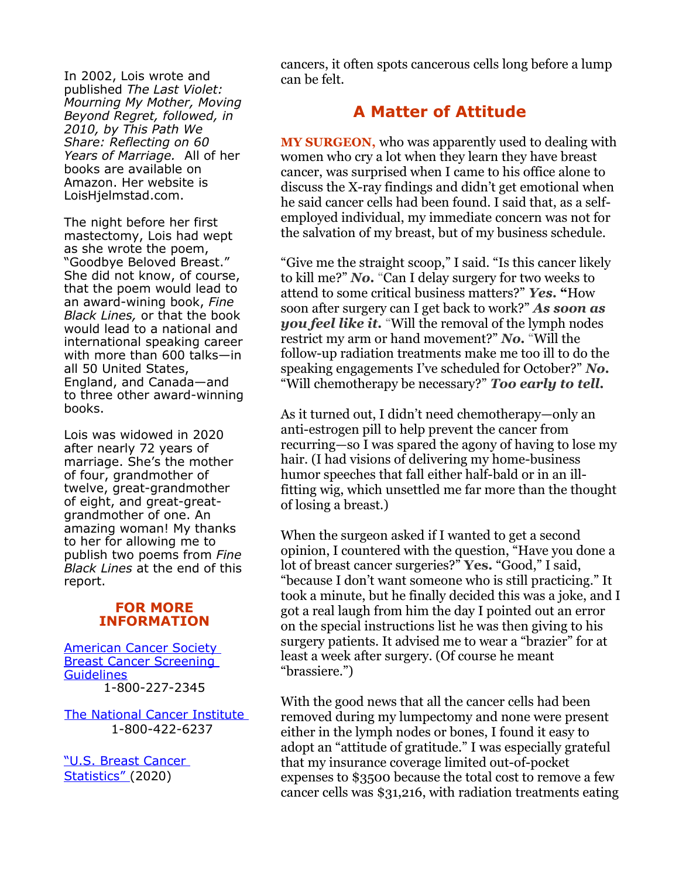In 2002, Lois wrote and published *The Last Violet: Mourning My Mother, Moving Beyond Regret, followed, in 2010, by This Path We Share: Reflecting on 60 Years of Marriage.* All of her books are available on Amazon. Her website is LoisHjelmstad.com.

The night before her first mastectomy, Lois had wept as she wrote the poem, "Goodbye Beloved Breast." She did not know, of course, that the poem would lead to an award-wining book, *Fine Black Lines,* or that the book would lead to a national and international speaking career with more than 600 talks—in all 50 United States, England, and Canada—and to three other award-winning books.

Lois was widowed in 2020 after nearly 72 years of marriage. She's the mother of four, grandmother of twelve, great-grandmother of eight, and great-greatgrandmother of one. An amazing woman! My thanks to her for allowing me to publish two poems from *Fine Black Lines* at the end of this report.

#### **FOR MORE INFORMATION**

[American Cancer Society](https://www.cancer.org/cancer/breast-cancer/screening-tests-and-early-detection/american-cancer-society-recommendations-for-the-early-detection-of-breast-cancer.html)  **Breast Cancer Screening [Guidelines](https://www.cancer.org/cancer/breast-cancer/screening-tests-and-early-detection/american-cancer-society-recommendations-for-the-early-detection-of-breast-cancer.html)** 1-800-227-2345

[The National Cancer Institute](https://www.cancer.gov/) 1-800-422-6237

["U.S. Breast Cancer](https://www.breastcancer.org/symptoms/understand_bc/statistics)  [Statistics"](https://www.breastcancer.org/symptoms/understand_bc/statistics) (2020)

cancers, it often spots cancerous cells long before a lump can be felt.

### **A Matter of Attitude**

**MY SURGEON,** who was apparently used to dealing with women who cry a lot when they learn they have breast cancer, was surprised when I came to his office alone to discuss the X-ray findings and didn't get emotional when he said cancer cells had been found. I said that, as a selfemployed individual, my immediate concern was not for the salvation of my breast, but of my business schedule.

"Give me the straight scoop," I said. "Is this cancer likely to kill me?" *No.* "Can I delay surgery for two weeks to attend to some critical business matters?" *Yes.* **"**How soon after surgery can I get back to work?" *As soon as you feel like it.* "Will the removal of the lymph nodes restrict my arm or hand movement?" *No.* "Will the follow-up radiation treatments make me too ill to do the speaking engagements I've scheduled for October?" *No.* "Will chemotherapy be necessary?" *Too early to tell.*

As it turned out, I didn't need chemotherapy—only an anti-estrogen pill to help prevent the cancer from recurring—so I was spared the agony of having to lose my hair. (I had visions of delivering my home-business humor speeches that fall either half-bald or in an illfitting wig, which unsettled me far more than the thought of losing a breast.)

When the surgeon asked if I wanted to get a second opinion, I countered with the question, "Have you done a lot of breast cancer surgeries?" **Yes.** "Good," I said, "because I don't want someone who is still practicing." It took a minute, but he finally decided this was a joke, and I got a real laugh from him the day I pointed out an error on the special instructions list he was then giving to his surgery patients. It advised me to wear a "brazier" for at least a week after surgery. (Of course he meant "brassiere.")

With the good news that all the cancer cells had been removed during my lumpectomy and none were present either in the lymph nodes or bones, I found it easy to adopt an "attitude of gratitude." I was especially grateful that my insurance coverage limited out-of-pocket expenses to \$3500 because the total cost to remove a few cancer cells was \$31,216, with radiation treatments eating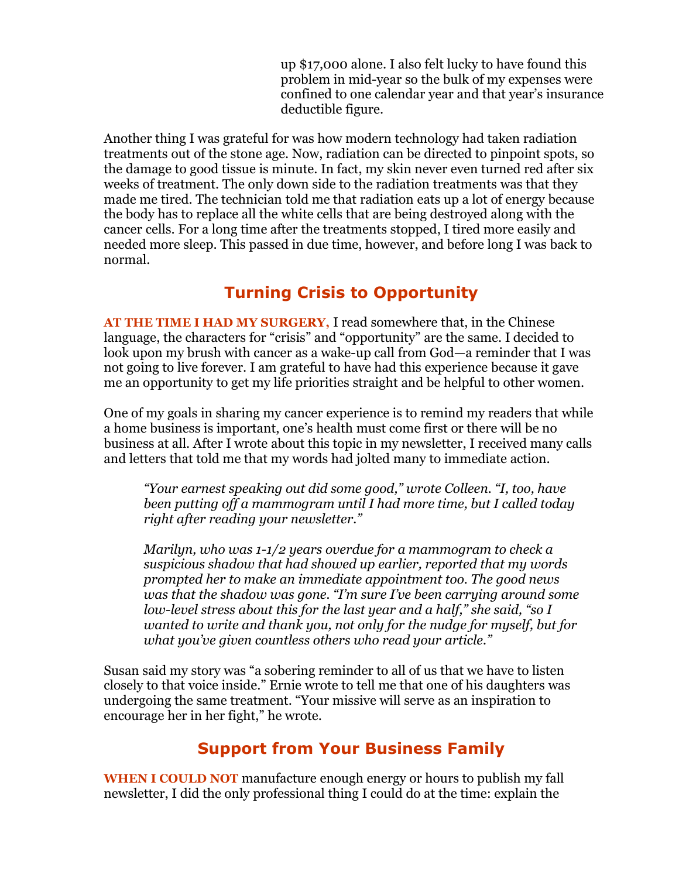up \$17,000 alone. I also felt lucky to have found this problem in mid-year so the bulk of my expenses were confined to one calendar year and that year's insurance deductible figure.

Another thing I was grateful for was how modern technology had taken radiation treatments out of the stone age. Now, radiation can be directed to pinpoint spots, so the damage to good tissue is minute. In fact, my skin never even turned red after six weeks of treatment. The only down side to the radiation treatments was that they made me tired. The technician told me that radiation eats up a lot of energy because the body has to replace all the white cells that are being destroyed along with the cancer cells. For a long time after the treatments stopped, I tired more easily and needed more sleep. This passed in due time, however, and before long I was back to normal.

### **Turning Crisis to Opportunity**

**AT THE TIME I HAD MY SURGERY,** I read somewhere that, in the Chinese language, the characters for "crisis" and "opportunity" are the same. I decided to look upon my brush with cancer as a wake-up call from God—a reminder that I was not going to live forever. I am grateful to have had this experience because it gave me an opportunity to get my life priorities straight and be helpful to other women.

One of my goals in sharing my cancer experience is to remind my readers that while a home business is important, one's health must come first or there will be no business at all. After I wrote about this topic in my newsletter, I received many calls and letters that told me that my words had jolted many to immediate action.

*"Your earnest speaking out did some good," wrote Colleen. "I, too, have been putting off a mammogram until I had more time, but I called today right after reading your newsletter."*

*Marilyn, who was 1-1/2 years overdue for a mammogram to check a suspicious shadow that had showed up earlier, reported that my words prompted her to make an immediate appointment too. The good news was that the shadow was gone. "I'm sure I've been carrying around some low-level stress about this for the last year and a half," she said, "so I wanted to write and thank you, not only for the nudge for myself, but for what you've given countless others who read your article."*

Susan said my story was "a sobering reminder to all of us that we have to listen closely to that voice inside." Ernie wrote to tell me that one of his daughters was undergoing the same treatment. "Your missive will serve as an inspiration to encourage her in her fight," he wrote.

#### **Support from Your Business Family**

**WHEN I COULD NOT** manufacture enough energy or hours to publish my fall newsletter, I did the only professional thing I could do at the time: explain the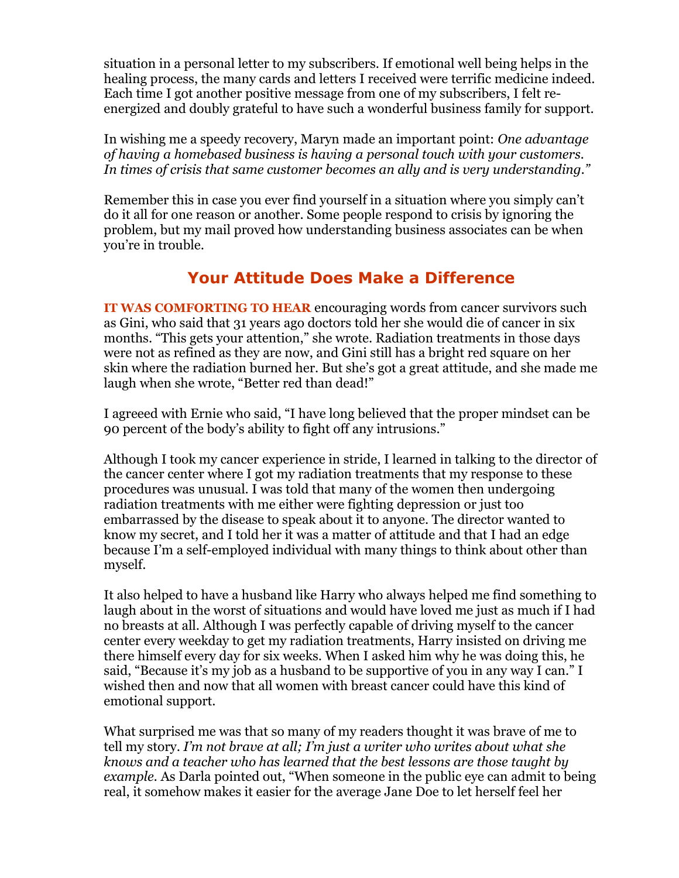situation in a personal letter to my subscribers. If emotional well being helps in the healing process, the many cards and letters I received were terrific medicine indeed. Each time I got another positive message from one of my subscribers, I felt reenergized and doubly grateful to have such a wonderful business family for support.

In wishing me a speedy recovery, Maryn made an important point: *One advantage of having a homebased business is having a personal touch with your customers. In times of crisis that same customer becomes an ally and is very understanding."*

Remember this in case you ever find yourself in a situation where you simply can't do it all for one reason or another. Some people respond to crisis by ignoring the problem, but my mail proved how understanding business associates can be when you're in trouble.

### **Your Attitude Does Make a Difference**

**IT WAS COMFORTING TO HEAR** encouraging words from cancer survivors such as Gini, who said that 31 years ago doctors told her she would die of cancer in six months. "This gets your attention," she wrote. Radiation treatments in those days were not as refined as they are now, and Gini still has a bright red square on her skin where the radiation burned her. But she's got a great attitude, and she made me laugh when she wrote, "Better red than dead!"

I agreeed with Ernie who said, "I have long believed that the proper mindset can be 90 percent of the body's ability to fight off any intrusions."

Although I took my cancer experience in stride, I learned in talking to the director of the cancer center where I got my radiation treatments that my response to these procedures was unusual. I was told that many of the women then undergoing radiation treatments with me either were fighting depression or just too embarrassed by the disease to speak about it to anyone. The director wanted to know my secret, and I told her it was a matter of attitude and that I had an edge because I'm a self-employed individual with many things to think about other than myself.

It also helped to have a husband like Harry who always helped me find something to laugh about in the worst of situations and would have loved me just as much if I had no breasts at all. Although I was perfectly capable of driving myself to the cancer center every weekday to get my radiation treatments, Harry insisted on driving me there himself every day for six weeks. When I asked him why he was doing this, he said, "Because it's my job as a husband to be supportive of you in any way I can." I wished then and now that all women with breast cancer could have this kind of emotional support.

What surprised me was that so many of my readers thought it was brave of me to tell my story. *I'm not brave at all; I'm just a writer who writes about what she knows and a teacher who has learned that the best lessons are those taught by example.* As Darla pointed out, "When someone in the public eye can admit to being real, it somehow makes it easier for the average Jane Doe to let herself feel her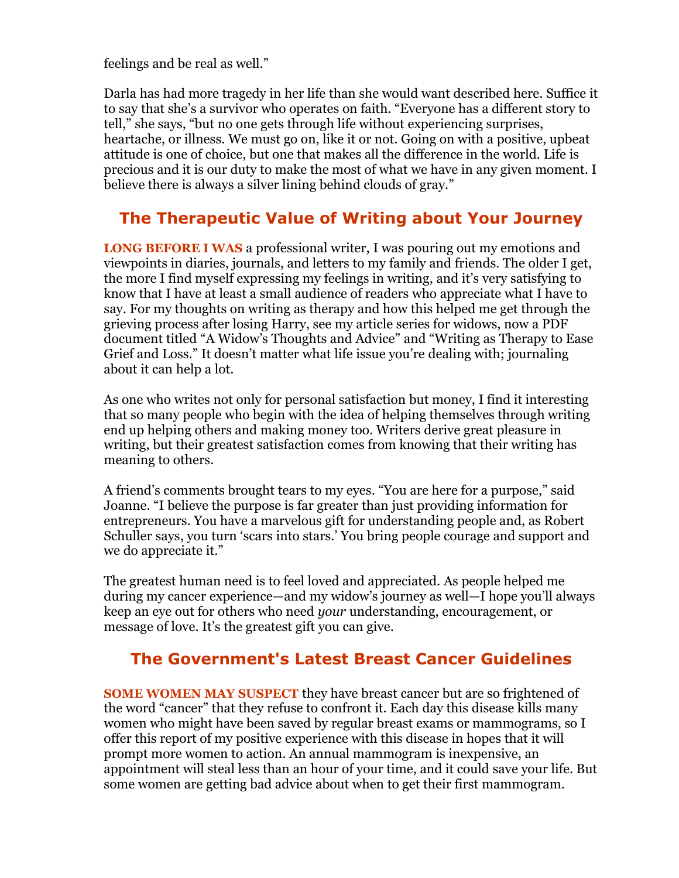feelings and be real as well."

Darla has had more tragedy in her life than she would want described here. Suffice it to say that she's a survivor who operates on faith. "Everyone has a different story to tell," she says, "but no one gets through life without experiencing surprises, heartache, or illness. We must go on, like it or not. Going on with a positive, upbeat attitude is one of choice, but one that makes all the difference in the world. Life is precious and it is our duty to make the most of what we have in any given moment. I believe there is always a silver lining behind clouds of gray."

### **The Therapeutic Value of Writing about Your Journey**

**LONG BEFORE I WAS** a professional writer, I was pouring out my emotions and viewpoints in diaries, journals, and letters to my family and friends. The older I get, the more I find myself expressing my feelings in writing, and it's very satisfying to know that I have at least a small audience of readers who appreciate what I have to say. For my thoughts on writing as therapy and how this helped me get through the grieving process after losing Harry, see my article series for widows, now a PDF document titled "A Widow's Thoughts and Advice" and "Writing as Therapy to Ease Grief and Loss." It doesn't matter what life issue you're dealing with; journaling about it can help a lot.

As one who writes not only for personal satisfaction but money, I find it interesting that so many people who begin with the idea of helping themselves through writing end up helping others and making money too. Writers derive great pleasure in writing, but their greatest satisfaction comes from knowing that their writing has meaning to others.

A friend's comments brought tears to my eyes. "You are here for a purpose," said Joanne. "I believe the purpose is far greater than just providing information for entrepreneurs. You have a marvelous gift for understanding people and, as Robert Schuller says, you turn 'scars into stars.' You bring people courage and support and we do appreciate it."

The greatest human need is to feel loved and appreciated. As people helped me during my cancer experience—and my widow's journey as well—I hope you'll always keep an eye out for others who need *your* understanding, encouragement, or message of love. It's the greatest gift you can give.

### **The Government's Latest Breast Cancer Guidelines**

**SOME WOMEN MAY SUSPECT** they have breast cancer but are so frightened of the word "cancer" that they refuse to confront it. Each day this disease kills many women who might have been saved by regular breast exams or mammograms, so I offer this report of my positive experience with this disease in hopes that it will prompt more women to action. An annual mammogram is inexpensive, an appointment will steal less than an hour of your time, and it could save your life. But some women are getting bad advice about when to get their first mammogram.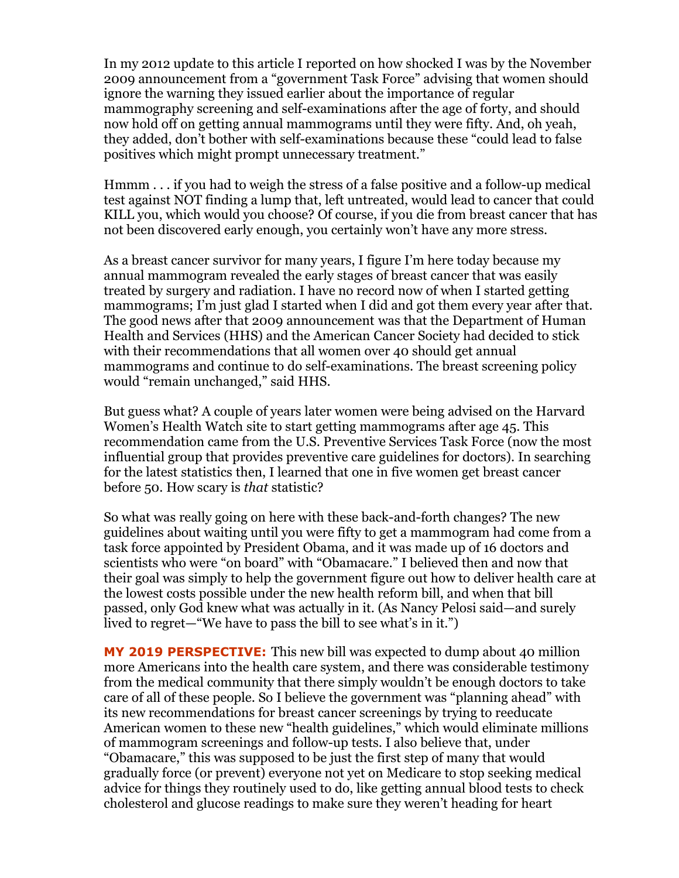In my 2012 update to this article I reported on how shocked I was by the November 2009 announcement from a "government Task Force" advising that women should ignore the warning they issued earlier about the importance of regular mammography screening and self-examinations after the age of forty, and should now hold off on getting annual mammograms until they were fifty. And, oh yeah, they added, don't bother with self-examinations because these "could lead to false positives which might prompt unnecessary treatment."

Hmmm . . . if you had to weigh the stress of a false positive and a follow-up medical test against NOT finding a lump that, left untreated, would lead to cancer that could KILL you, which would you choose? Of course, if you die from breast cancer that has not been discovered early enough, you certainly won't have any more stress.

As a breast cancer survivor for many years, I figure I'm here today because my annual mammogram revealed the early stages of breast cancer that was easily treated by surgery and radiation. I have no record now of when I started getting mammograms; I'm just glad I started when I did and got them every year after that. The good news after that 2009 announcement was that the Department of Human Health and Services (HHS) and the American Cancer Society had decided to stick with their recommendations that all women over 40 should get annual mammograms and continue to do self-examinations. The breast screening policy would "remain unchanged," said HHS.

But guess what? A couple of years later women were being advised on the Harvard Women's Health Watch site to start getting mammograms after age 45. This recommendation came from the U.S. Preventive Services Task Force (now the most influential group that provides preventive care guidelines for doctors). In searching for the latest statistics then, I learned that one in five women get breast cancer before 50. How scary is *that* statistic?

So what was really going on here with these back-and-forth changes? The new guidelines about waiting until you were fifty to get a mammogram had come from a task force appointed by President Obama, and it was made up of 16 doctors and scientists who were "on board" with "Obamacare." I believed then and now that their goal was simply to help the government figure out how to deliver health care at the lowest costs possible under the new health reform bill, and when that bill passed, only God knew what was actually in it. (As Nancy Pelosi said—and surely lived to regret—"We have to pass the bill to see what's in it.")

**MY 2019 PERSPECTIVE:** This new bill was expected to dump about 40 million more Americans into the health care system, and there was considerable testimony from the medical community that there simply wouldn't be enough doctors to take care of all of these people. So I believe the government was "planning ahead" with its new recommendations for breast cancer screenings by trying to reeducate American women to these new "health guidelines," which would eliminate millions of mammogram screenings and follow-up tests. I also believe that, under "Obamacare," this was supposed to be just the first step of many that would gradually force (or prevent) everyone not yet on Medicare to stop seeking medical advice for things they routinely used to do, like getting annual blood tests to check cholesterol and glucose readings to make sure they weren't heading for heart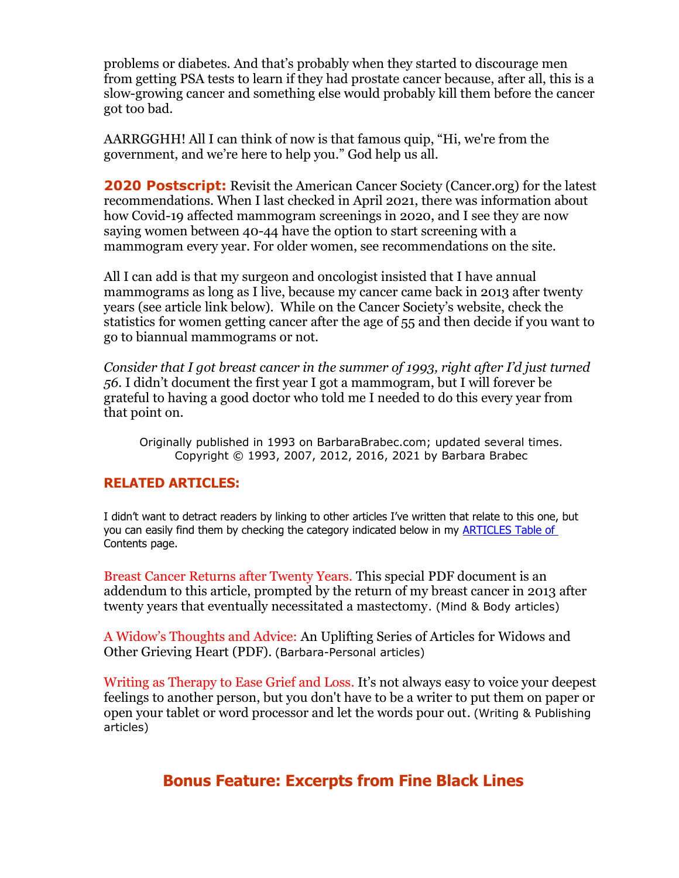problems or diabetes. And that's probably when they started to discourage men from getting PSA tests to learn if they had prostate cancer because, after all, this is a slow-growing cancer and something else would probably kill them before the cancer got too bad.

AARRGGHH! All I can think of now is that famous quip, "Hi, we're from the government, and we're here to help you." God help us all.

**2020 Postscript:** Revisit the American Cancer Society (Cancer.org) for the latest recommendations. When I last checked in April 2021, there was information about how Covid-19 affected mammogram screenings in 2020, and I see they are now saying women between 40-44 have the option to start screening with a mammogram every year. For older women, see recommendations on the site.

All I can add is that my surgeon and oncologist insisted that I have annual mammograms as long as I live, because my cancer came back in 2013 after twenty years (see article link below). While on the Cancer Society's website, check the statistics for women getting cancer after the age of 55 and then decide if you want to go to biannual mammograms or not.

*Consider that I got breast cancer in the summer of 1993, right after I'd just turned 56.* I didn't document the first year I got a mammogram, but I will forever be grateful to having a good doctor who told me I needed to do this every year from that point on.

Originally published in 1993 on BarbaraBrabec.com; updated several times. Copyright © 1993, 2007, 2012, 2016, 2021 by Barbara Brabec

#### **RELATED ARTICLES:**

I didn't want to detract readers by linking to other articles I've written that relate to this one, but you can easily find them by checking the category indicated below in my **ARTICLES Table of** [Contents](https://barbarabrabecproductions.com/articles/) page.

Breast Cancer Returns after Twenty Years. This special PDF document is an addendum to this article, prompted by the return of my breast cancer in 2013 after twenty years that eventually necessitated a mastectomy. (Mind & Body articles)

A Widow's Thoughts and Advice: An Uplifting Series of Articles for Widows and Other Grieving Heart (PDF). (Barbara-Personal articles)

Writing as Therapy to Ease Grief and Loss. It's not always easy to voice your deepest feelings to another person, but you don't have to be a writer to put them on paper or open your tablet or word processor and let the words pour out. (Writing & Publishing articles)

#### **Bonus Feature: Excerpts from Fine Black Lines**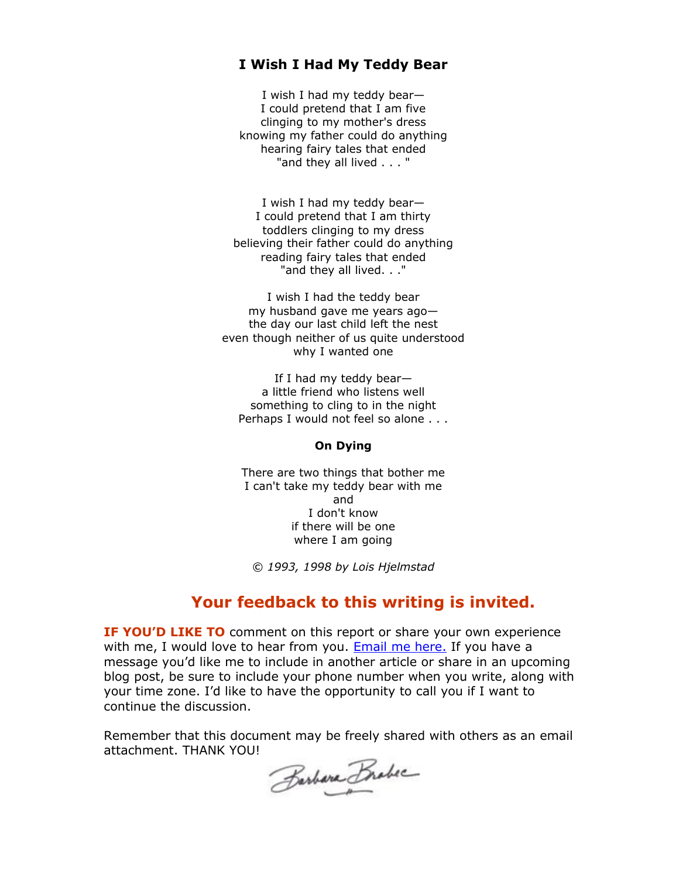#### **I Wish I Had My Teddy Bear**

I wish I had my teddy bear— I could pretend that I am five clinging to my mother's dress knowing my father could do anything hearing fairy tales that ended "and they all lived . . . "

I wish I had my teddy bear— I could pretend that I am thirty toddlers clinging to my dress believing their father could do anything reading fairy tales that ended "and they all lived. . ."

I wish I had the teddy bear my husband gave me years ago the day our last child left the nest even though neither of us quite understood why I wanted one

If I had my teddy bear a little friend who listens well something to cling to in the night Perhaps I would not feel so alone . . .

#### **On Dying**

There are two things that bother me I can't take my teddy bear with me and I don't know if there will be one where I am going

*© 1993, 1998 by Lois Hjelmstad*

#### **Your feedback to this writing is invited.**

**IF YOU'D LIKE TO** comment on this report or share your own experience with me, I would love to hear from you. [Email me here.](https://barbarabrabecproductions.com/contact) If you have a message you'd like me to include in another article or share in an upcoming blog post, be sure to include your phone number when you write, along with your time zone. I'd like to have the opportunity to call you if I want to continue the discussion.

Remember that this document may be freely shared with others as an email attachment. THANK YOU!

Barbara Brabec